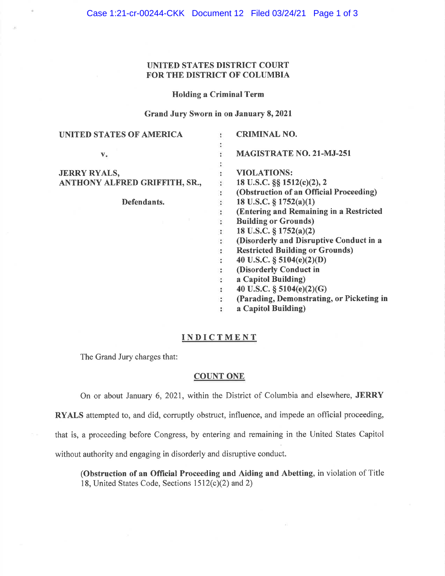# UNITED STATES DISTRICT COURT FOR THE DISTRICT OF COLUMBIA

### Holding a Criminal Term

## Grand Jury Sworn in on January 8, 2021

| UNITED STATES OF AMERICA      |                | <b>CRIMINAL NO.</b>                       |
|-------------------------------|----------------|-------------------------------------------|
|                               | ፡              |                                           |
| $V_{\ast}$                    |                | <b>MAGISTRATE NO. 21-MJ-251</b>           |
|                               | ٠              |                                           |
| <b>JERRY RYALS,</b>           |                | <b>VIOLATIONS:</b>                        |
| ANTHONY ALFRED GRIFFITH, SR., |                | 18 U.S.C. §§ 1512(c)(2), 2                |
|                               | $\ddot{\cdot}$ | (Obstruction of an Official Proceeding)   |
| Defendants.                   | :              | 18 U.S.C. $\S 1752(a)(1)$                 |
|                               | ÷              | (Entering and Remaining in a Restricted   |
|                               |                | <b>Building or Grounds)</b>               |
|                               |                | 18 U.S.C. $\S 1752(a)(2)$                 |
|                               | ÷              | (Disorderly and Disruptive Conduct in a   |
|                               | ÷              | <b>Restricted Building or Grounds)</b>    |
|                               | ÷              | 40 U.S.C. $\S$ 5104(e)(2)(D)              |
|                               |                | (Disorderly Conduct in                    |
|                               | ÷              | a Capitol Building)                       |
|                               | ÷              | 40 U.S.C. $\S$ 5104(e)(2)(G)              |
|                               |                | (Parading, Demonstrating, or Picketing in |
|                               |                | a Capitol Building)                       |
|                               |                |                                           |

# **INDICTMENT**

The Grand Jury charges that:

# **COUNT ONE**

On or about January 6, 2021, within the District of Columbia and elsewhere, **JERRY RYALS** attempted to, and did, corruptly obstruct, influence, and impede an official proceeding, that is, a proceeding before Congress, by entering and remaining in the United States Capitol

without authority and engaging in disorderly and disruptive conduct.

**(Obstruction of an Official Proceeding and Aiding and Abetting,** in violation of Title 18, United States Code, Sections  $1512(c)(2)$  and 2)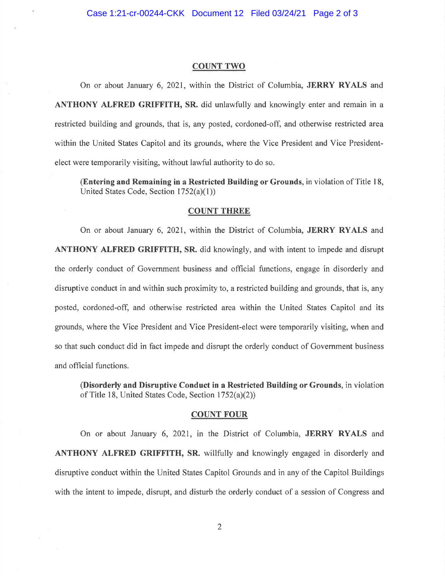### **COUNT TWO**

On or about January 6, 2021, within the District of Columbia, **JERRY RYALS** and **ANTHONY ALFRED GRIFFITH, SR.** did unlawfully and knowingly enter and remain in a restricted building and grounds, that is, any posted, cordoned-off, and otherwise restricted area within the United States Capitol and its grounds, where the Vice President and Vice Presidentelect were temporarily visiting, without lawful authority to do so.

**(Entering and Remaining in a Restricted Building or Grounds,** in violation of Title 18, United States Code, Section 1752(a)(1))

### **COUNT THREE**

On or about January 6, 2021, within the District of Columbia, **JERRY RYALS** and **ANTHONY ALFRED GRIFFITH, SR.** did knowingly, and with intent to impede and disrupt the orderly conduct of Government business and official functions, engage in disorderly and disruptive conduct in and within such proximity to, a restricted building and grounds, that is, any posted, cordoned-off, and otherwise restricted area within the United States Capitol and its grounds, where the Vice President and Vice President-elect were temporarily visiting, when and so that such conduct did in fact impede and disrupt the orderly conduct of Government business and official functions.

**(Disorderly and Disruptive Conduct in a Restricted Building or Grounds,** in violation of Title 18, United States Code, Section 1752(a)(2))

### **COUNT FOUR**

On or about January 6, 2021, in the District of Columbia, **JERRY RYALS** and **ANTHONY ALFRED GRIFFITH, SR.** willfully and knowingly engaged in disorderly and disruptive conduct within the United States Capitol Grounds and in any of the Capitol Buildings with the intent to impede, disrupt, and disturb the orderly conduct of a session of Congress and